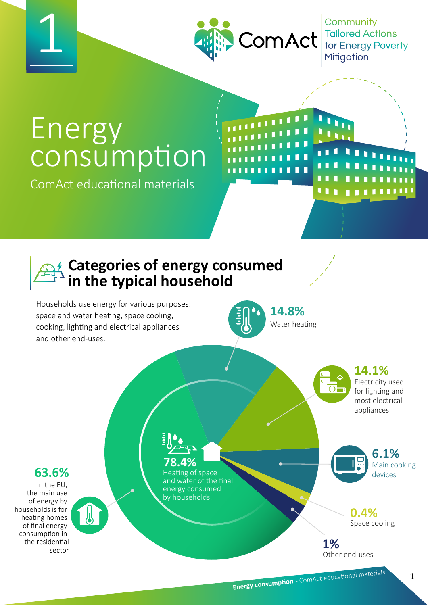

Community  $\text{ComAct}$  Tailored Actions Mitigation

# Energy consumption

ComAct educational materials

### **Categories of energy consumed in the typical household**

Households use energy for various purposes: space and water heating, space cooling, cooking, lighting and electrical appliances and other end-uses.



Water heating

1 L L

#### **14.1%**

Electricity used for lighting and most electrical appliances

#### **63.6%**

1

In the EU, the main use of energy by households is for heating homes of final energy consumption in the residential sector

# **78.4%**

Heating of space and water of the final energy consumed by households.

Main cooking devices **6.1%**

> Space cooling **0.4%**

Other end-uses **1%**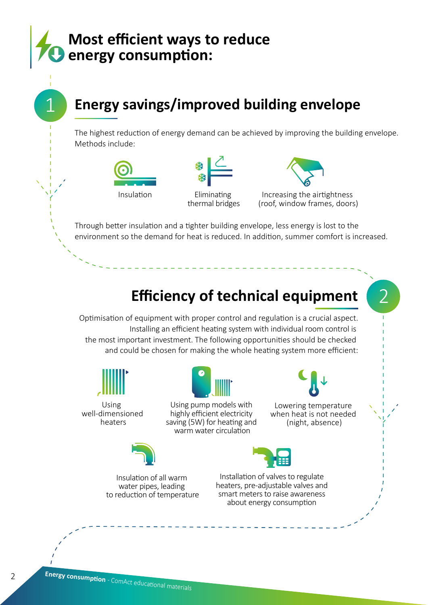### **Most efficient ways to reduce energy consumption:**

# **Energy savings/improved building envelope**

The highest reduction of energy demand can be achieved by improving the building envelope. Methods include:



1



Eliminating thermal bridges



Increasing the airtightness (roof, window frames, doors)

Through better insulation and a tighter building envelope, less energy is lost to the environment so the demand for heat is reduced. In addition, summer comfort is increased.

# **Efficiency of technical equipment**

Optimisation of equipment with proper control and regulation is a crucial aspect. Installing an efficient heating system with individual room control is the most important investment. The following opportunities should be checked and could be chosen for making the whole heating system more efficient:



Using well-dimensioned heaters



Using pump models with highly efficient electricity saving (5W) for heating and warm water circulation



Lowering temperature when heat is not needed (night, absence)





Insulation of all warm water pipes, leading to reduction of temperature

Installation of valves to regulate heaters, pre-adjustable valves and smart meters to raise awareness about energy consumption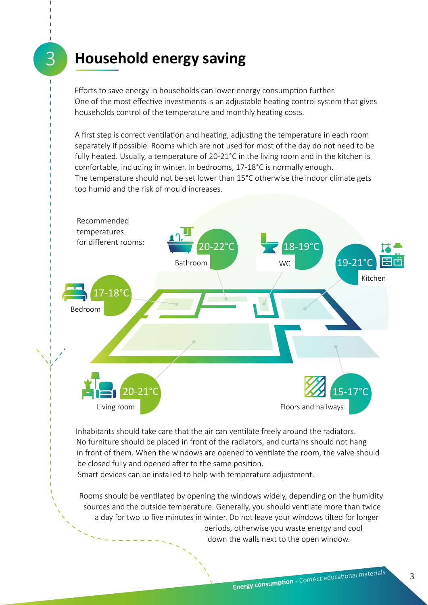### **Household energy saving**

3

Efforts to save energy in households can lower energy consumption further. One of the most effective investments is an adjustable heating control system that gives households control of the temperature and monthly heating costs.

A first step is correct ventilation and heating, adjusting the temperature in each room separately if possible. Rooms which are not used for most of the day do not need to be fully heated. Usually, a temperature of 20-21°C in the living room and in the kitchen is comfortable, including in winter. In bedrooms, 17-18°C is normally enough. The temperature should not be set lower than 15°C otherwise the indoor climate gets too humid and the risk of mould increases.



Inhabitants should take care that the air can ventilate freely around the radiators. No furniture should be placed in front of the radiators, and curtains should not hang in front of them. When the windows are opened to ventilate the room, the valve should be closed fully and opened after to the same position.

Smart devices can be installed to help with temperature adjustment.

Rooms should be ventilated by opening the windows widely, depending on the humidity sources and the outside temperature. Generally, you should ventilate more than twice a day for two to five minutes in winter. Do not leave your windows tilted for longer periods, otherwise you waste energy and cool down the walls next to the open window.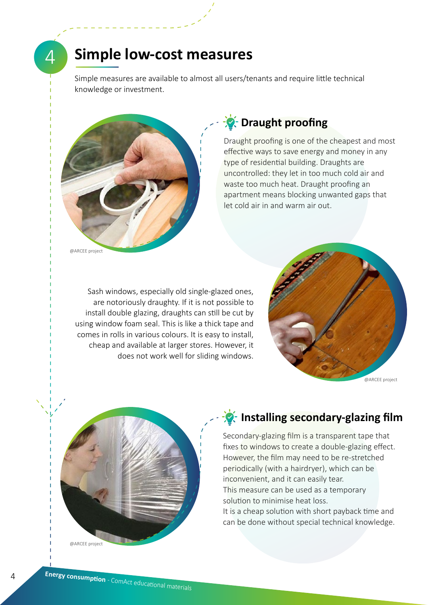$\varDelta$ 

#### **Simple low-cost measures**

Simple measures are available to almost all users/tenants and require little technical knowledge or investment.



#### *<b>Draught proofing*

Draught proofing is one of the cheapest and most effective ways to save energy and money in any type of residential building. Draughts are uncontrolled: they let in too much cold air and waste too much heat. Draught proofing an apartment means blocking unwanted gaps that let cold air in and warm air out.

Sash windows, especially old single-glazed ones, are notoriously draughty. If it is not possible to install double glazing, draughts can still be cut by using window foam seal. This is like a thick tape and comes in rolls in various colours. It is easy to install, cheap and available at larger stores. However, it does not work well for sliding windows.





#### **Installing secondary-glazing film**

Secondary-glazing film is a transparent tape that fixes to windows to create a double-glazing effect. However, the film may need to be re-stretched periodically (with a hairdryer), which can be inconvenient, and it can easily tear. This measure can be used as a temporary solution to minimise heat loss. It is a cheap solution with short payback time and can be done without special technical knowledge.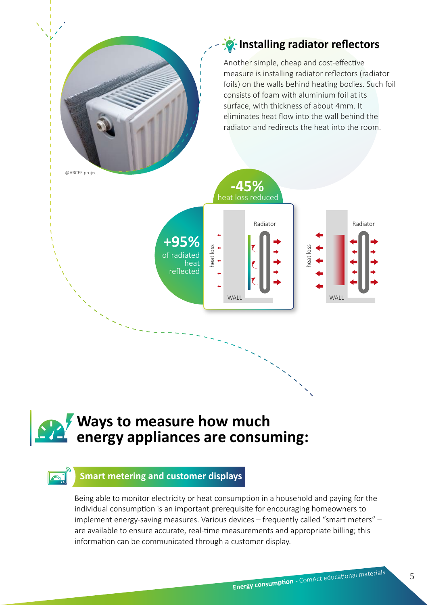#### *I*-Installing radiator reflectors

Another simple, cheap and cost-effective measure is installing radiator reflectors (radiator foils) on the walls behind heating bodies. Such foil consists of foam with aluminium foil at its surface, with thickness of about 4mm. It eliminates heat flow into the wall behind the radiator and redirects the heat into the room.



## **Ways to measure how much energy appliances are consuming:**

#### **Smart metering and customer displays**

Being able to monitor electricity or heat consumption in a household and paying for the individual consumption is an important prerequisite for encouraging homeowners to implement energy-saving measures. Various devices – frequently called "smart meters" – are available to ensure accurate, real-time measurements and appropriate billing; this information can be communicated through a customer display.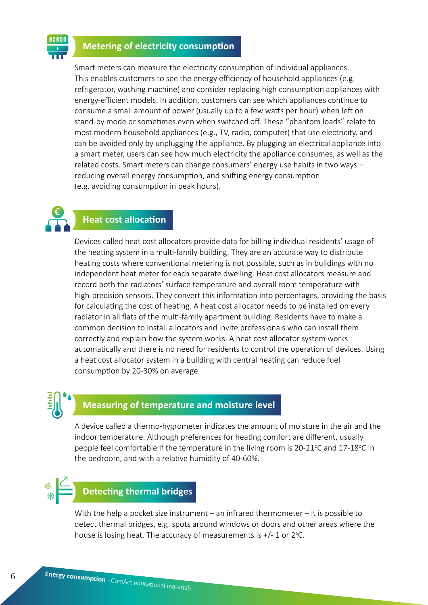#### **Metering of electricity consumption**

Smart meters can measure the electricity consumption of individual appliances. This enables customers to see the energy efficiency of household appliances (e.g. refrigerator, washing machine) and consider replacing high consumption appliances with energy-efficient models. In addition, customers can see which appliances continue to consume a small amount of power (usually up to a few watts per hour) when left on stand-by mode or sometimes even when switched off. These "phantom loads" relate to most modern household appliances (e.g., TV, radio, computer) that use electricity, and can be avoided only by unplugging the appliance. By plugging an electrical appliance into a smart meter, users can see how much electricity the appliance consumes, as well as the related costs. Smart meters can change consumers' energy use habits in two ways – reducing overall energy consumption, and shifting energy consumption (e.g. avoiding consumption in peak hours).

#### **Heat cost allocation**

Devices called heat cost allocators provide data for billing individual residents' usage of the heating system in a multi-family building. They are an accurate way to distribute heating costs where conventional metering is not possible, such as in buildings with no independent heat meter for each separate dwelling. Heat cost allocators measure and record both the radiators' surface temperature and overall room temperature with high-precision sensors. They convert this information into percentages, providing the basis for calculating the cost of heating. A heat cost allocator needs to be installed on every radiator in all flats of the multi-family apartment building. Residents have to make a common decision to install allocators and invite professionals who can install them correctly and explain how the system works. A heat cost allocator system works automatically and there is no need for residents to control the operation of devices. Using a heat cost allocator system in a building with central heating can reduce fuel consumption by 20-30% on average.

## **Measuring of temperature and moisture level**

A device called a thermo-hygrometer indicates the amount of moisture in the air and the indoor temperature. Although preferences for heating comfort are different, usually people feel comfortable if the temperature in the living room is 20-21°C and 17-18°C in the bedroom, and with a relative humidity of 40-60%.

#### **Detecting thermal bridges**

With the help a pocket size instrument – an infrared thermometer – it is possible to detect thermal bridges, e.g. spots around windows or doors and other areas where the house is losing heat. The accuracy of measurements is  $+/- 1$  or 2 $°C$ .